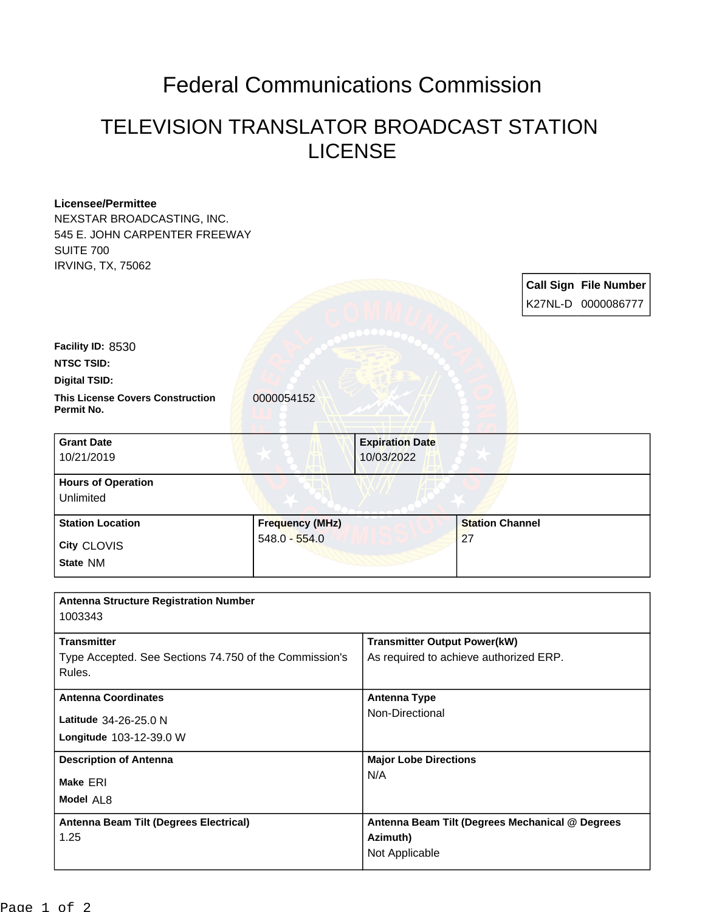## Federal Communications Commission

## TELEVISION TRANSLATOR BROADCAST STATION LICENSE

| <b>Licensee/Permittee</b>                              |                        |                                                             |                        |  |                              |
|--------------------------------------------------------|------------------------|-------------------------------------------------------------|------------------------|--|------------------------------|
| NEXSTAR BROADCASTING, INC.                             |                        |                                                             |                        |  |                              |
| 545 E. JOHN CARPENTER FREEWAY                          |                        |                                                             |                        |  |                              |
| <b>SUITE 700</b>                                       |                        |                                                             |                        |  |                              |
| <b>IRVING, TX, 75062</b>                               |                        |                                                             |                        |  |                              |
|                                                        |                        |                                                             |                        |  | <b>Call Sign File Number</b> |
|                                                        |                        |                                                             |                        |  | K27NL-D 0000086777           |
|                                                        |                        |                                                             |                        |  |                              |
|                                                        |                        |                                                             |                        |  |                              |
| Facility ID: 8530                                      |                        |                                                             |                        |  |                              |
| <b>NTSC TSID:</b>                                      |                        |                                                             |                        |  |                              |
| <b>Digital TSID:</b>                                   |                        |                                                             |                        |  |                              |
| <b>This License Covers Construction</b><br>Permit No.  | 0000054152             |                                                             |                        |  |                              |
|                                                        |                        |                                                             |                        |  |                              |
| <b>Grant Date</b>                                      |                        | <b>Expiration Date</b>                                      |                        |  |                              |
| 10/21/2019                                             |                        | 10/03/2022                                                  |                        |  |                              |
| <b>Hours of Operation</b>                              |                        |                                                             |                        |  |                              |
| Unlimited                                              |                        |                                                             |                        |  |                              |
|                                                        |                        |                                                             |                        |  |                              |
| <b>Station Location</b>                                | <b>Frequency (MHz)</b> |                                                             | <b>Station Channel</b> |  |                              |
| City CLOVIS                                            | $548.0 - 554.0$        |                                                             | 27                     |  |                              |
| State NM                                               |                        |                                                             |                        |  |                              |
|                                                        |                        |                                                             |                        |  |                              |
| <b>Antenna Structure Registration Number</b>           |                        |                                                             |                        |  |                              |
| 1003343                                                |                        |                                                             |                        |  |                              |
|                                                        |                        |                                                             |                        |  |                              |
| <b>Transmitter</b>                                     |                        | <b>Transmitter Output Power(kW)</b>                         |                        |  |                              |
| Type Accepted. See Sections 74.750 of the Commission's |                        | As required to achieve authorized ERP.                      |                        |  |                              |
| Rules.                                                 |                        |                                                             |                        |  |                              |
| <b>Antenna Coordinates</b>                             |                        | <b>Antenna Type</b>                                         |                        |  |                              |
| Latitude 34-26-25.0 N                                  |                        | Non-Directional                                             |                        |  |                              |
| Longitude 103-12-39.0 W                                |                        |                                                             |                        |  |                              |
|                                                        |                        |                                                             |                        |  |                              |
| <b>Description of Antenna</b>                          |                        | <b>Major Lobe Directions</b>                                |                        |  |                              |
| Make ERI                                               |                        | N/A                                                         |                        |  |                              |
| Model AL8                                              |                        |                                                             |                        |  |                              |
| Antenna Beam Tilt (Degrees Electrical)                 |                        |                                                             |                        |  |                              |
| 1.25                                                   |                        | Antenna Beam Tilt (Degrees Mechanical @ Degrees<br>Azimuth) |                        |  |                              |
|                                                        |                        | Not Applicable                                              |                        |  |                              |
|                                                        |                        |                                                             |                        |  |                              |